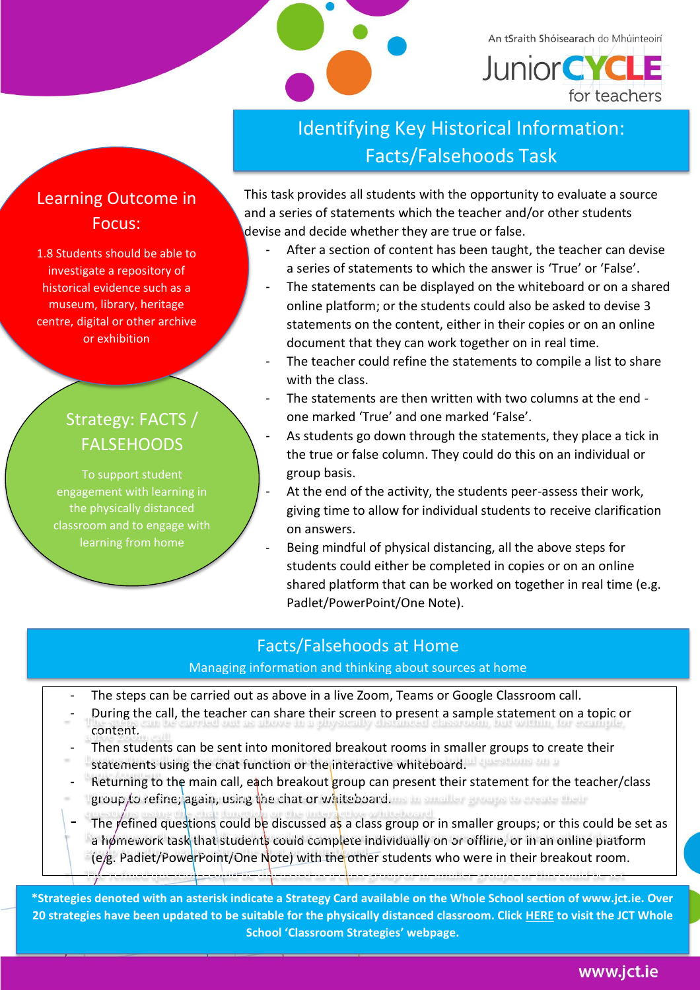

An tSraith Shóisearach do Mhúinteoirí **Junior CYCLE** for teachers

# Identifying Key Historical Information: Facts/Falsehoods Task

### Learning Outcome in Focus:

1.8 Students should be able to investigate a repository of historical evidence such as a museum, library, heritage centre, digital or other archive or exhibition

## Strategy: FACTS / FALSEHOODS

To support student engagement with learning in the physically distanced classroom and to engage with learning from home

This task provides all students with the opportunity to evaluate a source . and a series of statements which the teacher and/or other students devise and decide whether they are true or false.

- After a section of content has been taught, the teacher can devise a series of statements to which the answer is 'True' or 'False'.
- The statements can be displayed on the whiteboard or on a shared online platform; or the students could also be asked to devise 3 statements on the content, either in their copies or on an online document that they can work together on in real time.
- The teacher could refine the statements to compile a list to share with the class.
- The statements are then written with two columns at the end one marked 'True' and one marked 'False'.
- As students go down through the statements, they place a tick in the true or false column. They could do this on an individual or group basis.
- At the end of the activity, the students peer-assess their work, giving time to allow for individual students to receive clarification on answers.
- Being mindful of physical distancing, all the above steps for students could either be completed in copies or on an online shared platform that can be worked on together in real time (e.g. Padlet/PowerPoint/One Note).

### Facts/Falsehoods at Home

### Managing information and thinking about sources at home

- The steps can be carried out as above in a live Zoom, Teams or Google Classroom call.
- During the call, the teacher can share their screen to present a sample statement on a topic or<br>- The statement out as above in a physically distanced classroom, but with with the statement on a topic or content.
- Then students can be sent into monitored breakout rooms in smaller groups to create their - Then students can be sent into monitored breakout rooms in smaller groups to cre<br>- Statements using the chat function or the interactive whiteboard. The strong on a
- tournance daily the end ranchers of the interdence inheressed in the teacher/class Returning to the main call,  $e\frac{1}{2}$ ch breakout group can present their statement for the teacher/class metaring to the main can, even steakout group can present their statement for the technology of the statement of the technology of the statement of the technology of the statement of the technology of the statement of thei
- The refined questions could be discussed as a class group or in smaller groups; or this could be set as f the fermed questions could be discussed as a class group or in smaller groups; or this could be set<br>The main could be made that students could complete individually on or offline, or in an online platform expression the procedure of the computer matriceally on the chains of their breakout room. the refined questions could be discussed as a class group or in smaller groups, or the reflections of the set

as a homework task that students could complete individually on or offline, or in an online platform (e.g. Padlet/Powerpoint/One Note) with the other students who were in their breakout **\*Strategies denoted with an asterisk indicate a Strategy Card available on the Whole School section of www.jct.ie. Over**  20 strategies have been updated to be suitable for the physically distanced classroom. Click <u>HERE</u> to visit the JCT Whole **School 'Classroom Strategies' webpage.**